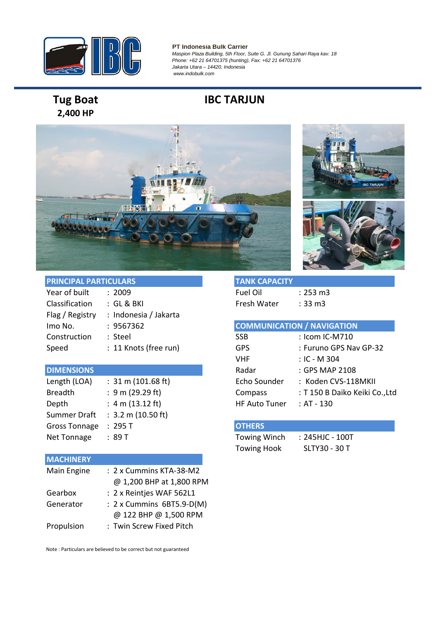

#### **PT Indonesia Bulk Carrier** *Maspion Plaza Building, 5th Floor, Suite G. Jl. Gunung Sahari Raya kav. 18 Phone: +62 21 64701375 (hunting), Fax: +62 21 64701376 Jakarta Utara – 14420, Indonesia www.indobulk.com*

# **2,400 HP**

## **Tug Boat IBC TARJUN**





| <b>PRINCIPAL PARTICULARS</b> |                       | <b>TANK CAPACITY</b> |                                   |
|------------------------------|-----------------------|----------------------|-----------------------------------|
| Year of built                | : 2009                | <b>Fuel Oil</b>      | $: 253 \text{ m}3$                |
| Classification               | : GL & BKI            | Fresh Water          | $: 33 \text{ m}$                  |
| Flag / Registry              | : Indonesia / Jakarta |                      |                                   |
| Imo No.                      | : 9567362             |                      | <b>COMMUNICATION / NAVIGATION</b> |
| Construction                 | : Steel               | <b>SSB</b>           | : Icom IC-M710                    |
| Speed                        | : 11 Knots (free run) | <b>GPS</b>           | : Furuno GPS Nav                  |
|                              |                       |                      |                                   |

#### **DIMENSIONS**

| Length (LOA)         | $: 31 \text{ m} (101.68 \text{ ft})$ | Echo Sounder         | : Koden C  |
|----------------------|--------------------------------------|----------------------|------------|
| <b>Breadth</b>       | : 9 m (29.29 ft)                     | Compass              | : T150B1   |
| Depth                | : 4 m $(13.12 \text{ ft})$           | <b>HF Auto Tuner</b> | : AT - 130 |
|                      | Summer Draft : 3.2 m (10.50 ft)      |                      |            |
| <b>Gross Tonnage</b> | :295 T                               | <b>OTHERS</b>        |            |
| Net Tonnage          | : 89T                                | Towing Winch         | : 245HJC - |
|                      |                                      |                      |            |

#### **MACHINERY**

| Main Engine | : 2 x Cummins KTA-38-M2   |
|-------------|---------------------------|
|             | @ 1,200 BHP at 1,800 RPM  |
| Gearbox     | : 2 x Reintjes WAF 562L1  |
| Generator   | : 2 x Cummins 6BT5.9-D(M) |
|             | @ 122 BHP @ 1,500 RPM     |
| Propulsion  | : Twin Screw Fixed Pitch  |

Note : Particulars are believed to be correct but not guaranteed

| TANK CAPACITY |        |
|---------------|--------|
| Fuel Oil      | : 253r |
| Fresh Water   | : 33 m |

| Imo No.           | : 9567362                            |                      | <b>COMMUNICATION / NAVIGATION</b> |  |
|-------------------|--------------------------------------|----------------------|-----------------------------------|--|
| Construction      | : Steel                              | <b>SSB</b>           | : Icom IC-M710                    |  |
| Speed             | : 11 Knots (free run)                | <b>GPS</b>           | : Furuno GPS Nav GP-32            |  |
|                   |                                      | <b>VHF</b>           | $:$ IC - M 304                    |  |
| <b>DIMENSIONS</b> |                                      | Radar                | : GPS MAP 2108                    |  |
| Length (LOA)      | $: 31 \text{ m} (101.68 \text{ ft})$ | Echo Sounder         | : Koden CVS-118MKII               |  |
| <b>Breadth</b>    | : 9 m (29.29 ft)                     | Compass              | : T 150 B Daiko Keiki Co., Ltd    |  |
| Depth             | : $4 \text{ m} (13.12 \text{ ft})$   | <b>HF Auto Tuner</b> | : AT - 130                        |  |

### **OTHERS**

Towing Winch : 245HJC - 100T Towing Hook SLTY30 - 30 T